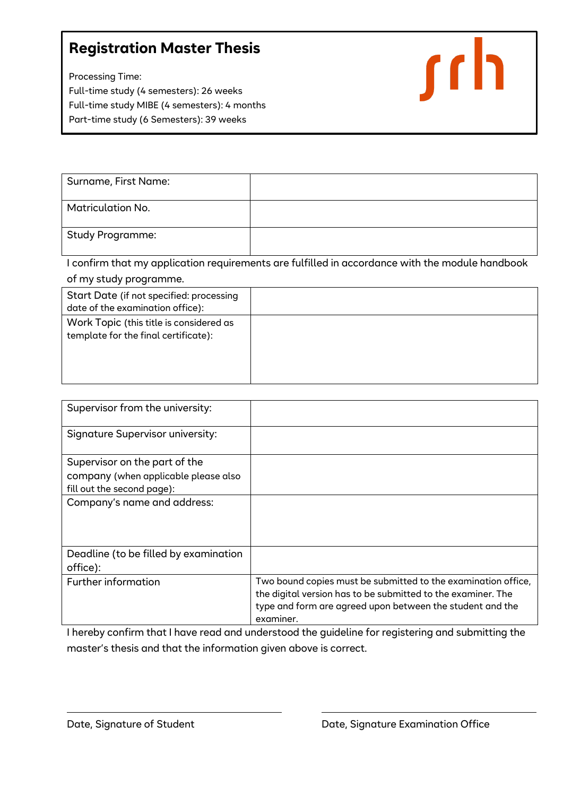## **Registration Master Thesis**

Processing Time: Full-time study (4 semesters): 26 weeks Full-time study MIBE (4 semesters): 4 months Part-time study (6 Semesters): 39 weeks



| Surname, First Name:     |  |
|--------------------------|--|
| <b>Matriculation No.</b> |  |
| <b>Study Programme:</b>  |  |

I confirm that my application requirements are fulfilled in accordance with the module handbook of my study programme.

| Start Date (if not specified: processing                                        |  |
|---------------------------------------------------------------------------------|--|
| date of the examination office):                                                |  |
| Work Topic (this title is considered as<br>template for the final certificate): |  |

| Supervisor from the university:                                                                     |                                                                                                                                                                                                         |
|-----------------------------------------------------------------------------------------------------|---------------------------------------------------------------------------------------------------------------------------------------------------------------------------------------------------------|
| <b>Signature Supervisor university:</b>                                                             |                                                                                                                                                                                                         |
| Supervisor on the part of the<br>company (when applicable please also<br>fill out the second page): |                                                                                                                                                                                                         |
| Company's name and address:                                                                         |                                                                                                                                                                                                         |
| Deadline (to be filled by examination<br>office):                                                   |                                                                                                                                                                                                         |
| <b>Further information</b>                                                                          | Two bound copies must be submitted to the examination office,<br>the digital version has to be submitted to the examiner. The<br>type and form are agreed upon between the student and the<br>examiner. |

I hereby confirm that I have read and understood the guideline for registering and submitting the master's thesis and that the information given above is correct.